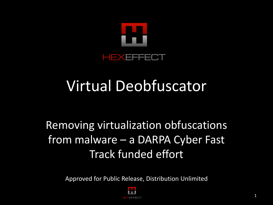

### Virtual Deobfuscator

#### Removing virtualization obfuscations from malware – a DARPA Cyber Fast Track funded effort

Approved for Public Release, Distribution Unlimited

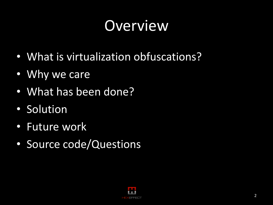### Overview

- What is virtualization obfuscations?
- Why we care
- What has been done?
- Solution
- Future work
- Source code/Questions

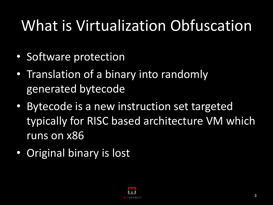# What is Virtualization Obfuscation

- Software protection
- Translation of a binary into randomly generated bytecode
- Bytecode is a new instruction set targeted typically for RISC based architecture VM which runs on x86
- Original binary is lost

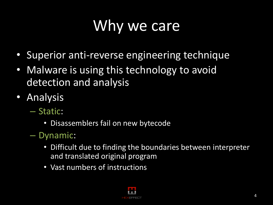# Why we care

- Superior anti-reverse engineering technique
- Malware is using this technology to avoid detection and analysis
- Analysis
	- Static:
		- Disassemblers fail on new bytecode
	- Dynamic:
		- Difficult due to finding the boundaries between interpreter and translated original program
		- Vast numbers of instructions

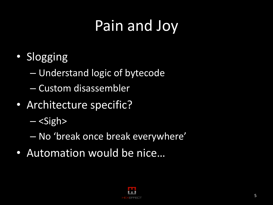# Pain and Joy

- Slogging
	- Understand logic of bytecode
	- Custom disassembler
- Architecture specific?
	- $-$  <Sigh>
	- No 'break once break everywhere'
- Automation would be nice…

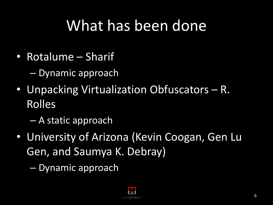#### What has been done

- Rotalume Sharif
	- Dynamic approach
- Unpacking Virtualization Obfuscators R. Rolles
	- A static approach
- University of Arizona (Kevin Coogan, Gen Lu Gen, and Saumya K. Debray)
	- Dynamic approach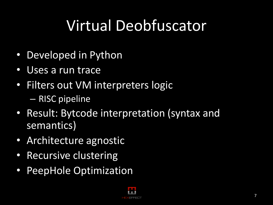# Virtual Deobfuscator

- Developed in Python
- Uses a run trace
- Filters out VM interpreters logic – RISC pipeline
- Result: Bytcode interpretation (syntax and semantics)
- Architecture agnostic
- Recursive clustering
- PeepHole Optimization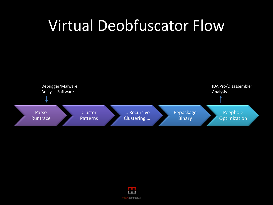#### Virtual Deobfuscator Flow



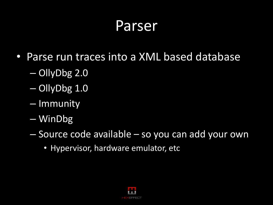#### Parser

- Parse run traces into a XML based database
	- OllyDbg 2.0
	- OllyDbg 1.0
	- Immunity
	- WinDbg
	- Source code available so you can add your own
		- Hypervisor, hardware emulator, etc

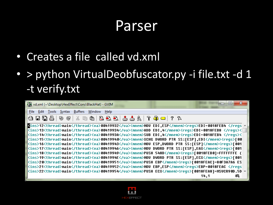#### Parser

- Creates a file called vd.xml
- > python VirtualDeobfuscator.py -i file.txt -d 1 -t verify.txt

| Vd.xml (~\Desktop\HexEffect\Cons\BlackHat) - GVIM                                                                                                                                      |
|----------------------------------------------------------------------------------------------------------------------------------------------------------------------------------------|
| File Edit Tools Syntax Buffers Window Help                                                                                                                                             |
| $ \mathbf{A}\boxplus\mathbf{A}\boxplus\mathbf{B} $ ) $\mathbf{A}\boxplus\mathbf{B}$ ) $\mathbf{A}\boxplus\mathbf{B}$ ) $\mathbf{A}\boxplus\mathbf{B}$ ) $\mathbf{A}\boxplus\mathbf{B}$ |
| Kins>12 <thread>main</thread> <ua>00419932</ua> <mnem>MOU EDI,ESP</mnem> <regs>EDI=0018FEB4 </regs>                                                                                    |
| <ras>13<thread>main</thread><va>00419934</va><mnem>ADD EDI,4</mnem><reqs>EDI=0018FEB8 </reqs></ras>                                                                                    |
| <ins>14<thread>main</thread><va>0041993A</va><mnem>SUB EDI,4</mnem><regs>EDI=0018FEB4 </regs></ins>                                                                                    |
| sins>15 <thread>main</thread> <va>00419940</va> <mnem>XCHG DWORD PTR SS:[ESP],EDI</mnem> <reqs>[00] </reqs>                                                                            |
| Kins>16 <thread>main</thread> <va>00419943</va> <mnem>MOV ESP,DWORD PTR SS:[ESP]</mnem> <reqs>[001  </reqs>                                                                            |
| Cins>17 <thread>main</thread> <va>00419946</va> <mnem>MOV DWORD PTR SS:[ESP],EAX</mnem> <reqs>[001]</reqs>                                                                             |
| <ins>18<thread>main</thread><va>00419949</va><mnem>PUSH 548D</mnem><reqs>[0018FEB0]=FFFFFFFE (</reqs></ins>                                                                            |
| Kins>19 <thread>main</thread> <va>0041994E</va> <mnem>MOV DWORD PTR SS:[ESP],ECX</mnem> <reqs>[001]</reqs>                                                                             |
| <ins>20<thread>main</thread><va>00419951</va><mnem>PUSH EBP</mnem><reqs>[0018FEAC]=80F3A7A6 ES </reqs></ins>                                                                           |
| kins>21 <thread>main</thread> <va>00419952</va> <mnem>MOV EBP,ESP</mnem> <reqs>EBP=0018FEAC </reqs>                                                                                    |
|                                                                                                                                                                                        |
| በ%<br>14.1                                                                                                                                                                             |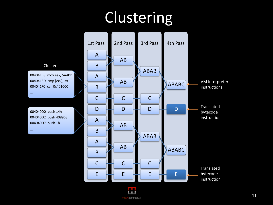# Clustering



EFFECT

Cluster

004041E8 mov eax, 5A4Dh 004041ED cmp [ecx], ax 004041F0 call 0x401000

…

…

004040D0 push 14h 004040D2 push 408968h 004040D7 push 1h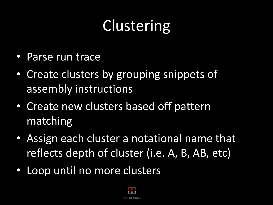# **Clustering**

- Parse run trace
- Create clusters by grouping snippets of assembly instructions
- Create new clusters based off pattern matching
- Assign each cluster a notational name that reflects depth of cluster (i.e. A, B, AB, etc)
- Loop until no more clusters

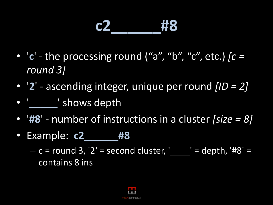#### **c2\_\_\_\_\_\_#8**

- '**c**' the processing round ("a", "b", "c", etc.) *[c = round 3]*
- '**2**' ascending integer, unique per round *[ID = 2]*
- '**\_\_\_\_\_**' shows depth
- '**#8**' number of instructions in a cluster *[size = 8]*
- Example: **c2\_\_\_\_\_\_#8**

 $- c =$  round 3, '2' = second cluster, ' \_\_\_\_' = depth, '#8' = contains 8 ins

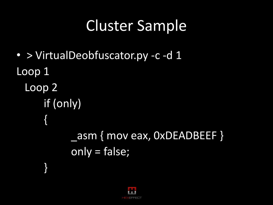### Cluster Sample

• > VirtualDeobfuscator.py -c -d 1 Loop 1 Loop 2 if (only) {<br>} \_asm { mov eax, 0xDEADBEEF } only = false; }

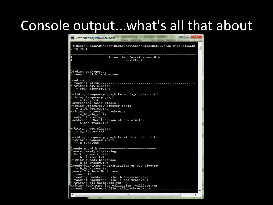#### Console output...what's all that about

C:\Windows\system32\cmd.exe C:\Users\Jason\Desktop\HexEffect\Cons\BlackHat>python UirtualDeobfu<sub>r</sub>  $-c-d1$ Uirtual Deobfuscator ver 0.4 HexEffect Loading packages... running with lxml.etree lread xml Writing new cluster orig\_cluster.txt Building frequency graph from: [a\_cluster.txt] Writing frequency graph  $-$  a\_freq.txt Compressing basic blocks.. Writing window/new cluster table – a window sz.txt Writing compression backtrace - a\_bt\_win\_sz.txt Create clustering... Backtrace - Verification of new cluster  $-$  a backtrace.txt Writing new cluster – a\_cľuster.txt Building frequency graph from: [b\_cluster.txt] Writing frequency graph - b\_freq.txt Greedy round b:--Create greedy clustering.................................. \* Writing new cluster - b\_cluster.txt<br>Writing greedy backtrace | — b\_bt\_greedy.txt<br>Greedy backtrace — Verification of new cluster - b\_backtrace.txt Create Complete Backtrace [round 1] reading backtrace file: b\_backtrace.txt reading backtrace file: a\_backtrace.txt writing all\_backtrace.txt Writing backtrace for validation: validate.txt<br>— reading backtrace for validation: validate.txt..................... . . . . . . . . . . . . . . . . . m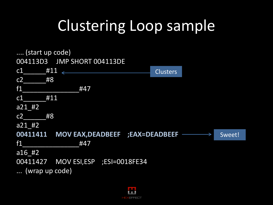## Clustering Loop sample

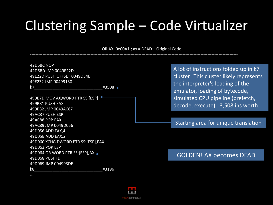#### Clustering Sample – Code Virtualizer

OR AX, 0xC0A1 ; ax = DEAD – Original Code

| $\cdots$                            |       |                                         |
|-------------------------------------|-------|-----------------------------------------|
| 42D6BC NOP                          |       |                                         |
| 42D6BD JMP 0049E22D                 |       | A lot of instructions folded up in k7   |
| 49E22D PUSH OFFSET 0049D34B         |       | cluster. This cluster likely represents |
| 49E232 JMP 00499130                 |       | the interpreter's loading of the        |
| k7                                  | #3508 |                                         |
|                                     |       | emulator, loading of bytecode,          |
| 499B7D MOV AX, WORD PTR SS: [ESP]   |       | simulated CPU pipeline (prefetch,       |
| 499B81 PUSH EAX                     |       | decode, execute). 3,508 ins worth.      |
| 499B82 JMP 0049AC87                 |       |                                         |
| 49AC87 PUSH ESP                     |       |                                         |
| 49AC88 POP EAX                      |       |                                         |
| 49AC89 JMP 0049D056                 |       | Starting area for unique translation    |
| 49D056 ADD EAX,4                    |       |                                         |
| 49D05B ADD EAX,2                    |       |                                         |
| 49D060 XCHG DWORD PTR SS:[ESP], EAX |       |                                         |
| 49D063 POP ESP                      |       |                                         |
| 49D064 OR WORD PTR SS:[ESP], AX -   |       | <b>GOLDEN! AX becomes DEAD</b>          |
| 49D068 PUSHFD                       |       |                                         |
| 49D069 JMP 004993DE                 |       |                                         |
| k8                                  | #3196 |                                         |
|                                     |       |                                         |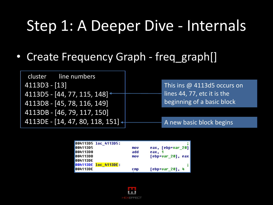#### Step 1: A Deeper Dive - Internals

• Create Frequency Graph - freq\_graph[]

| cluster line numbers                     |                             |
|------------------------------------------|-----------------------------|
| $4113D3 - [13]$                          | This ins @ 4113d5 occurs on |
| 4113D5 - [44, 77, 115, 148] $\leftarrow$ | lines 44, 77, etc it is the |
| 4113D8 - [45, 78, 116, 149]              | beginning of a basic block  |
| 4113DB - [46, 79, 117, 150]              |                             |
| 4113DE - [14, 47, 80, 118, 151] $+$      | A new basic block begins    |

|                 | 004113D5 loc 4113D5: |            |                    |
|-----------------|----------------------|------------|--------------------|
| 00411305        |                      | mov        | eax, [ebp+var_20]  |
| 00411308        |                      | add        | eax. 1             |
| <b>004113DB</b> |                      | mov        | [ebp+var 20], eax  |
| <b>004113DE</b> |                      |            |                    |
|                 | 004113DE loc 4113DE: |            |                    |
| <b>004113DE</b> |                      | <b>CMD</b> | $[ebp+var_20]$ , 4 |

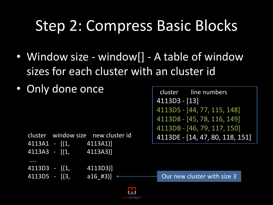### Step 2: Compress Basic Blocks

- Window size window [] A table of window sizes for each cluster with an cluster id
- Only done once

```
cluster window size new cluster id
4113A1 - [(1, 4113A1)]
4113A3 - [(1, 4113A3)]
....
4113D3 - [(1, 4113D3)]
4113D5 - [(3, 316_443)] \leftarrow Our new cluster with size 3
```

```
 cluster line numbers 
4113D3 - [13]
4113D5 - [44, 77, 115, 148]
4113D8 - [45, 78, 116, 149]
4113DB - [46, 79, 117, 150]
4113DE - [14, 47, 80, 118, 151]
```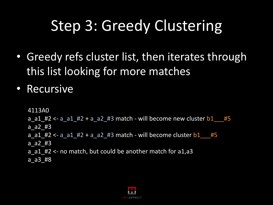## Step 3: Greedy Clustering

- Greedy refs cluster list, then iterates through this list looking for more matches
- Recursive

4113A0

 $a$  a1 #2 <- a a1 #2 + a a2 #3 match - will become new cluster  $b1$  #5 a\_a2\_#3

```
a_{a1} = 42 <- a_a1_\#2 + a_a2_\#3 match - will become cluster b1 \#5
```

```
a_a2_#3
```

```
a a1 #2 <- no match, but could be another match for a1,a3
```

```
a_a3_#8
```
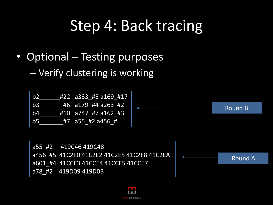#### Step 4: Back tracing

• Optional – Testing purposes

– Verify clustering is working



```
a55_#2 419C46 419C48 
a456_#5 41C2E0 41C2E2 41C2E5 41C2E8 41C2EA 
a601_#4 41CCE3 41CCE4 41CCE5 41CCE7 
a78_#2 419D09 419D0B
```
Round A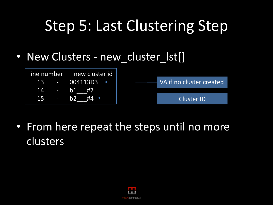### Step 5: Last Clustering Step

• New Clusters - new cluster lst[]



• From here repeat the steps until no more clusters

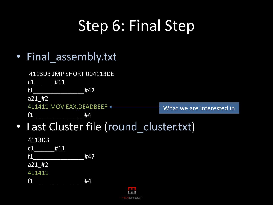## Step 6: Final Step

• Final\_assembly.txt

4113D3 JMP SHORT 004113DE

c1 #11

f1\_\_\_\_\_\_\_\_\_\_\_\_\_\_\_#47

f1  $#4$ 

a21\_#2

411411 MOV EAX, DEADBEEF <-

What we are interested in

- Last Cluster file (round cluster.txt)
	- 4113D3 c1 #11 f1\_\_\_\_\_\_\_\_\_\_\_\_\_\_\_#47 a21\_#2 411411 f1\_\_\_\_\_\_\_\_\_\_\_\_\_\_\_#4

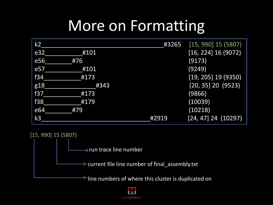#### More on Formatting

| k2              |      | #3265 | $[15, 990]$ 15 (5807)   |
|-----------------|------|-------|-------------------------|
| e <sub>32</sub> | #101 |       | [16, 224] 16 (9072)     |
| e56             | #76  |       | (9173)                  |
| e57             | #101 |       | (9249)                  |
| f34             | #173 |       | $[19, 205]$ 19 (9350)   |
| g18             | #343 |       | $[20, 35]$ 20 (9523)    |
| f37             | #173 |       | (9866)                  |
| f38             | #179 |       | (10039)                 |
| e <sub>64</sub> | #79  |       | (10218)                 |
| k3              |      | #2919 | $[24, 47]$ 24 $(10297)$ |

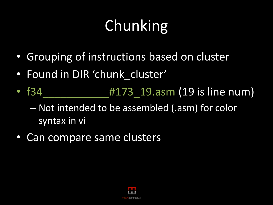# **Chunking**

- Grouping of instructions based on cluster
- Found in DIR 'chunk cluster'
- f34 **https://doi.org/19.asm (19 is line num)** – Not intended to be assembled (.asm) for color syntax in vi
- Can compare same clusters

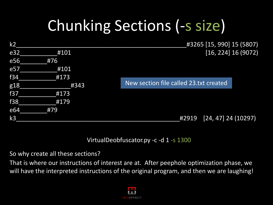# Chunking Sections (-s size)

| k <sub>2</sub> |      | #3265 [15, 990] 15 (5807)              |
|----------------|------|----------------------------------------|
| e32            | #101 | [16, 224] 16 (9072)                    |
| e56            | #76  |                                        |
| e57            | #101 |                                        |
| f34            | #173 |                                        |
| g18            | #343 | New section file called 23.txt created |
| <b>f37</b>     | #173 |                                        |
| f38            | #179 |                                        |
| e64            | #79  |                                        |
| k <sub>3</sub> |      | $[24, 47]$ 24 (10297)<br>#2919         |

VirtualDeobfuscator.py -c -d 1 -s 1300

So why create all these sections?

That is where our instructions of interest are at. After peephole optimization phase, we will have the interpreted instructions of the original program, and then we are laughing!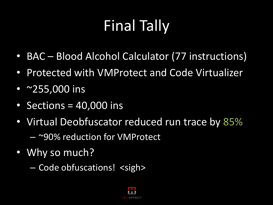# Final Tally

- BAC Blood Alcohol Calculator (77 instructions)
- Protected with VMProtect and Code Virtualizer
- ~255,000 ins
- Sections = 40,000 ins
- Virtual Deobfuscator reduced run trace by 85%
	- ~90% reduction for VMProtect
- Why so much?
	- Code obfuscations! <sigh>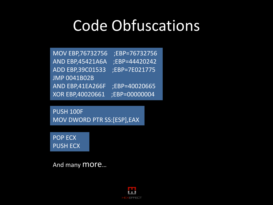#### Code Obfuscations

MOV EBP,76732756 ;EBP=76732756 AND EBP,45421A6A ;EBP=44420242 ADD EBP,39C01533 ;EBP=7E021775 JMP 0041B02B AND EBP,41EA266F ;EBP=40020665 XOR EBP,40020661 ;EBP=00000004

PUSH 100F MOV DWORD PTR SS:[ESP],EAX

POP ECX PUSH ECX

And many more…

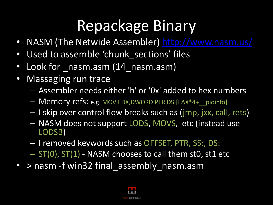#### Repackage Binary

- NASM (The Netwide Assembler)<http://www.nasm.us/>
- Used to assemble 'chunk sections' files
- Look for nasm.asm (14 nasm.asm)
- Massaging run trace
	- Assembler needs either 'h' or '0x' added to hex numbers
	- Memory refs: e.g. MOV EDX,DWORD PTR DS:[EAX\*4+\_\_pioinfo]
	- I skip over control flow breaks such as (jmp, jxx, call, rets)
	- NASM does not support LODS, MOVS, etc (instead use LODSB)
	- I removed keywords such as OFFSET, PTR, SS:, DS:
	- $-$  ST(0), ST(1) NASM chooses to call them st0, st1 etc
- > nasm -f win32 final\_assembly\_nasm.asm

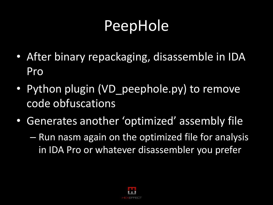#### PeepHole

- After binary repackaging, disassemble in IDA Pro
- Python plugin (VD peephole.py) to remove code obfuscations
- Generates another 'optimized' assembly file
	- Run nasm again on the optimized file for analysis in IDA Pro or whatever disassembler you prefer

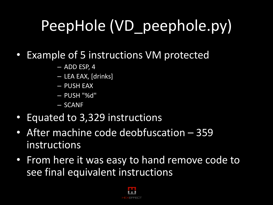# PeepHole (VD\_peephole.py)

- Example of 5 instructions VM protected
	- ADD ESP, 4
	- LEA EAX, [drinks]
	- PUSH EAX
	- PUSH "%d"
	- SCANF
- Equated to 3,329 instructions
- After machine code deobfuscation 359 instructions
- From here it was easy to hand remove code to see final equivalent instructions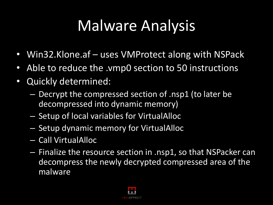#### Malware Analysis

- Win32.Klone.af uses VMProtect along with NSPack
- Able to reduce the .vmp0 section to 50 instructions
- Quickly determined:
	- Decrypt the compressed section of .nsp1 (to later be decompressed into dynamic memory)
	- Setup of local variables for VirtualAlloc
	- Setup dynamic memory for VirtualAlloc
	- Call VirtualAlloc
	- Finalize the resource section in .nsp1, so that NSPacker can decompress the newly decrypted compressed area of the malware

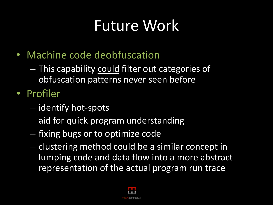#### Future Work

- Machine code deobfuscation
	- This capability could filter out categories of obfuscation patterns never seen before
- Profiler
	- identify hot-spots
	- aid for quick program understanding
	- fixing bugs or to optimize code
	- clustering method could be a similar concept in lumping code and data flow into a more abstract representation of the actual program run trace